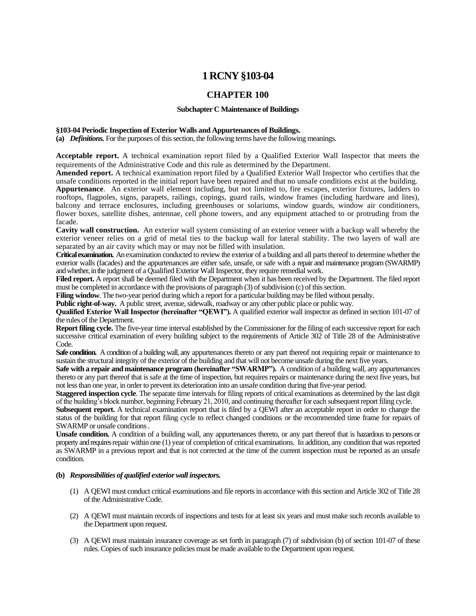# **1 RCNY§103-04**

# **CHAPTER 100**

## **Subchapter C Maintenance of Buildings**

## **§103-04 Periodic Inspection of Exterior Walls and Appurtenances of Buildings.**

**(a)** *Definitions.* For the purposes of this section, the following terms have the following meanings.

**Acceptable report.** A technical examination report filed by a Qualified Exterior Wall Inspector that meets the requirements of the Administrative Code and this rule as determined by the Department.

**Amended report.** A technical examination report filed by a Qualified Exterior Wall Inspector who certifies that the unsafe conditions reported in the initial report have been repaired and that no unsafe conditions exist at the building. **Appurtenance**. An exterior wall element including, but not limited to, fire escapes, exterior fixtures, ladders to rooftops, flagpoles, signs, parapets, railings, copings, guard rails, window frames (including hardware and lites), balcony and terrace enclosures, including greenhouses or solariums, window guards, window air conditioners, flower boxes, satellite dishes, antennae, cell phone towers, and any equipment attached to or protruding from the facade.

**Cavity wall construction.** An exterior wall system consisting of an exterior veneer with a backup wall whereby the exterior veneer relies on a grid of metal ties to the backup wall for lateral stability. The two layers of wall are separated by an air cavity which may or may not be filled with insulation.

**Critical examination.** An examination conducted to review the exterior of a building and all parts thereof to determine whether the exterior walls (facades) and the appurtenances are either safe, unsafe, or safe with a repair and maintenance program (SWARMP) and whether, in the judgment of a Qualified Exterior Wall Inspector, they require remedial work.

**Filed report.** A report shall be deemed filed with the Department when it has been received by the Department. The filed report must be completed in accordance with the provisions of paragraph (3) of subdivision (c) of this section.

**Filing window**. The two-year period during which a report for a particular building may be filed without penalty.

**Public right-of-way.** A public street, avenue, sidewalk, roadway or any other public place or public way.

**Qualified Exterior Wall Inspector (hereinafter "QEWI").** A qualified exterior wall inspector as defined in section 101-07 of the rules of the Department.

**Report filing cycle.** The five-year time interval established by the Commissioner for the filing of each successive report for each successive critical examination of every building subject to the requirements of Article 302 of Title 28 of the Administrative Code.

**Safe condition.** A condition of a building wall, any appurtenances thereto or any part thereof not requiring repair or maintenance to sustain the structural integrity of the exterior of the building and that will not become unsafe during the next five years.

**Safe with a repair and maintenance program (hereinafter "SWARMP").** A condition of a building wall, any appurtenances thereto or any part thereof that is safe at the time of inspection, but requires repairs or maintenance during the next five years, but not less than one year, in order to prevent its deterioration into an unsafe condition during that five-year period.

**Staggered inspection cycle**. The separate time intervals for filing reports of critical examinations as determined by the last digit of the building's block number, beginning February 21, 2010, and continuing thereafter for each subsequent report filing cycle.

**Subsequent report.** A technical examination report that is filed by a QEWI after an acceptable report in order to change the status of the building for that report filing cycle to reflect changed conditions or the recommended time frame for repairs of SWARMP or unsafe conditions.

**Unsafe condition.** A condition of a building wall, any appurtenances thereto, or any part thereof that is hazardous to persons or property and requires repair within one (1) year of completion of critical examinations. In addition, any condition that was reported as SWARMP in a previous report and that is not corrected at the time of the current inspection must be reported as an unsafe condition.

# **(b)** *Responsibilities of qualified exterior wall inspectors.*

- (1) A QEWI must conduct critical examinations and file reports in accordance with this section and Article 302 of Title 28 of the Administrative Code.
- (2) A QEWI must maintain records of inspections and tests for at least six years and must make such records available to the Department upon request.
- (3) A QEWI must maintain insurance coverage as set forth in paragraph (7) of subdivision (b) of section 101-07 of these rules. Copies of such insurance policies must be made available to the Department upon request.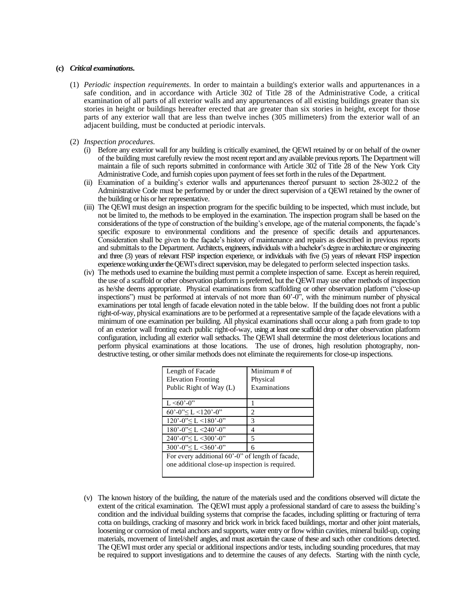## **(c)** *Critical examinations***.**

- (1) *Periodic inspection requirements.* In order to maintain a building's exterior walls and appurtenances in a safe condition, and in accordance with Article 302 of Title 28 of the Administrative Code, a critical examination of all parts of all exterior walls and any appurtenances of all existing buildings greater than six stories in height or buildings hereafter erected that are greater than six stories in height, except for those parts of any exterior wall that are less than twelve inches (305 millimeters) from the exterior wall of an adjacent building, must be conducted at periodic intervals.
- (2) *Inspection procedures.*
	- (i) Before any exterior wall for any building is critically examined, the QEWI retained by or on behalf of the owner of the building must carefully review the most recent report and any available previous reports. The Department will maintain a file of such reports submitted in conformance with Article 302 of Title 28 of the New York City Administrative Code, and furnish copies upon payment of fees set forth in the rules of the Department.
	- (ii) Examination of a building's exterior walls and appurtenances thereof pursuant to section 28-302.2 of the Administrative Code must be performed by or under the direct supervision of a QEWI retained by the owner of the building or his or her representative.
	- (iii) The QEWI must design an inspection program for the specific building to be inspected, which must include, but not be limited to, the methods to be employed in the examination. The inspection program shall be based on the considerations of the type of construction of the building's envelope, age of the material components, the façade's specific exposure to environmental conditions and the presence of specific details and appurtenances. Consideration shall be given to the façade's history of maintenance and repairs as described in previous reports and submittals to the Department. Architects, engineers, individuals with a bachelor's degree in architecture or engineering and three (3) years of relevant FISP inspection experience, or individuals with five (5) years of relevant FISP inspection experienceworking underthe QEWI's direct supervision, may be delegated to perform selected inspection tasks.
	- (iv) The methods used to examine the building must permit a complete inspection of same. Except as herein required, the use of a scaffold or other observation platform is preferred, but the QEWI may use other methods of inspection as he/she deems appropriate. Physical examinations from scaffolding or other observation platform ("close-up inspections") must be performed at intervals of not more than 60'-0", with the minimum number of physical examinations per total length of facade elevation noted in the table below. If the building does not front a public right-of-way, physical examinations are to be performed at a representative sample of the façade elevations with a minimum of one examination per building. All physical examinations shall occur along a path from grade to top of an exterior wall fronting each public right-of-way, using at least one scaffold drop or other observation platform configuration, including all exterior wall setbacks. The QEWI shall determine the most deleterious locations and perform physical examinations at those locations. The use of drones, high resolution photography, nondestructive testing, or other similar methods does not eliminate the requirements for close-up inspections.

| Length of Facade                                     | Minimum $#$ of |  |
|------------------------------------------------------|----------------|--|
| <b>Elevation Fronting</b>                            | Physical       |  |
| Public Right of Way (L)                              | Examinations   |  |
|                                                      |                |  |
| $L < 60^{\circ} - 0$ <sup>*</sup>                    |                |  |
| $60^{\circ}$ -0" $\leq$ L $\leq$ 120'-0"             | 2              |  |
| $120^{\circ}$ -0" $\leq$ L $\leq$ 180'-0"            | 3              |  |
| $180^{\circ}$ -0" $\leq$ L $\leq$ 240'-0"            | 4              |  |
| $240^{\circ}$ -0" $\leq$ L $\leq$ 300 $^{\circ}$ -0" | 5              |  |
| $300^{\circ}$ -0" $\leq$ L $\leq$ 360 $^{\circ}$ -0" | 6              |  |
| For every additional 60'-0" of length of facade,     |                |  |
| one additional close-up inspection is required.      |                |  |
|                                                      |                |  |

(v) The known history of the building, the nature of the materials used and the conditions observed will dictate the extent of the critical examination. The QEWI must apply a professional standard of care to assess the building's condition and the individual building systems that comprise the facades, including splitting or fracturing of terra cotta on buildings, cracking of masonry and brick work in brick faced buildings, mortar and other joint materials, loosening or corrosion of metal anchors and supports, water entry or flow within cavities, mineral build-up, coping materials, movement of lintel/shelf angles, and must ascertain the cause of these and such other conditions detected. The QEWI must order any special or additional inspections and/or tests, including sounding procedures, that may be required to support investigations and to determine the causes of any defects. Starting with the ninth cycle,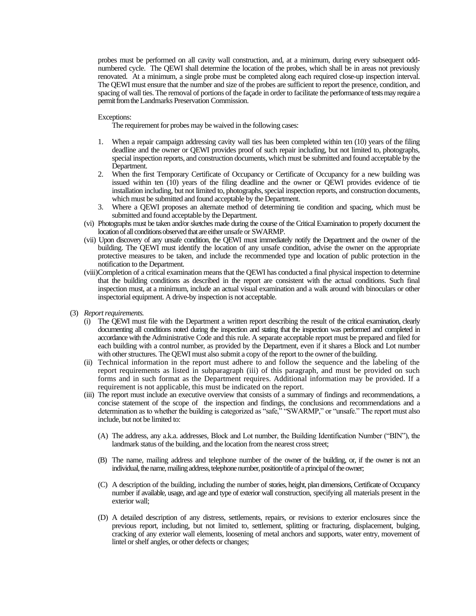probes must be performed on all cavity wall construction, and, at a minimum, during every subsequent oddnumbered cycle. The QEWI shall determine the location of the probes, which shall be in areas not previously renovated. At a minimum, a single probe must be completed along each required close-up inspection interval. The QEWI must ensure that the number and size of the probes are sufficient to report the presence, condition, and spacing of wall ties. The removal of portions of the façade in order to facilitate the performance of tests may require a permit from theLandmarks Preservation Commission.

# Exceptions:

The requirement for probes may be waived in the following cases:

- 1. When a repair campaign addressing cavity wall ties has been completed within ten (10) years of the filing deadline and the owner or QEWI provides proof of such repair including, but not limited to, photographs, special inspection reports, and construction documents, which must be submitted and found acceptable by the Department.
- 2. When the first Temporary Certificate of Occupancy or Certificate of Occupancy for a new building was issued within ten (10) years of the filing deadline and the owner or QEWI provides evidence of tie installation including, but not limited to, photographs, special inspection reports, and construction documents, which must be submitted and found acceptable by the Department.
- 3. Where a QEWI proposes an alternate method of determining tie condition and spacing, which must be submitted and found acceptable by the Department.
- (vi) Photographs must be taken and/or sketches made during the course of the Critical Examination to properly document the location of all conditions observed that are either unsafe or SWARMP.
- (vii) Upon discovery of any unsafe condition, the QEWI must immediately notify the Department and the owner of the building. The QEWI must identify the location of any unsafe condition, advise the owner on the appropriate protective measures to be taken, and include the recommended type and location of public protection in the notification to the Department.
- (viii)Completion of a critical examination meansthat the QEWI has conducted a final physical inspection to determine that the building conditions as described in the report are consistent with the actual conditions. Such final inspection must, at a minimum, include an actual visual examination and a walk around with binoculars or other inspectorial equipment. A drive-by inspection is not acceptable.
- (3) *Report requirements.*
	- (i) The QEWI must file with the Department a written report describing the result of the critical examination, clearly documenting all conditions noted during the inspection and stating that the inspection was performed and completed in accordance with the Administrative Code and this rule. A separate acceptable report must be prepared and filed for each building with a control number, as provided by the Department, even if it shares a Block and Lot number with other structures. The QEWI must also submit a copy of the report to the owner of the building.
	- (ii) Technical information in the report must adhere to and follow the sequence and the labeling of the report requirements as listed in subparagraph (iii) of this paragraph, and must be provided on such forms and in such format as the Department requires. Additional information may be provided. If a requirement is not applicable, this must be indicated on the report.
	- (iii) The report must include an executive overview that consists of a summary of findings and recommendations, a concise statement of the scope of the inspection and findings, the conclusions and recommendations and a determination as to whether the building is categorized as "safe," "SWARMP," or "unsafe." The report must also include, but not be limited to:
		- (A) The address, any a.k.a. addresses, Block and Lot number, the Building Identification Number ("BIN"), the landmark status of the building, and the location from the nearest cross street;
		- (B) The name, mailing address and telephone number of the owner of the building, or, if the owner is not an individual, the name, mailing address, telephone number, position/title of a principal of the owner;
		- (C) A description of the building, including the number of stories, height, plan dimensions, Certificate of Occupancy number if available, usage, and age and type of exterior wall construction, specifying all materials present in the exterior wall;
		- (D) A detailed description of any distress, settlements, repairs, or revisions to exterior enclosures since the previous report, including, but not limited to, settlement, splitting or fracturing, displacement, bulging, cracking of any exterior wall elements, loosening of metal anchors and supports, water entry, movement of lintel or shelf angles, or other defects or changes;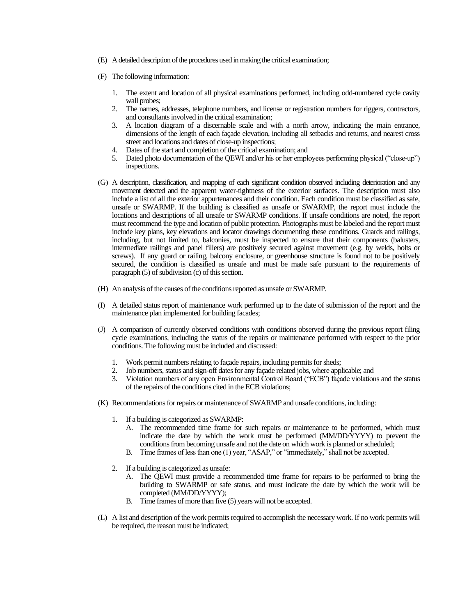- (E) A detailed description of the procedures used in making the critical examination;
- (F) The following information:
	- 1. The extent and location of all physical examinations performed, including odd-numbered cycle cavity wall probes:
	- 2. The names, addresses, telephone numbers, and license or registration numbers for riggers, contractors, and consultants involved in the critical examination;
	- 3. A location diagram of a discernable scale and with a north arrow, indicating the main entrance, dimensions of the length of each façade elevation, including all setbacks and returns, and nearest cross street and locations and dates of close-up inspections;
	- 4. Dates of the start and completion of the critical examination; and
	- 5. Dated photo documentation of the QEWI and/or his or her employees performing physical ("close-up") inspections.
- (G) A description, classification, and mapping of each significant condition observed including deterioration and any movement detected and the apparent water-tightness of the exterior surfaces. The description must also include a list of all the exterior appurtenances and their condition. Each condition must be classified as safe, unsafe or SWARMP. If the building is classified as unsafe or SWARMP, the report must include the locations and descriptions of all unsafe or SWARMP conditions. If unsafe conditions are noted, the report must recommend the type and location of public protection. Photographs must be labeled and the report must include key plans, key elevations and locator drawings documenting these conditions. Guards and railings, including, but not limited to, balconies, must be inspected to ensure that their components (balusters, intermediate railings and panel fillers) are positively secured against movement (e.g. by welds, bolts or screws). If any guard or railing, balcony enclosure, or greenhouse structure is found not to be positively secured, the condition is classified as unsafe and must be made safe pursuant to the requirements of paragraph (5) of subdivision (c) of this section.
- (H) An analysis of the causes of the conditions reported as unsafe or SWARMP.
- (I) A detailed status report of maintenance work performed up to the date of submission of the report and the maintenance plan implemented for building facades;
- (J) A comparison of currently observed conditions with conditions observed during the previous report filing cycle examinations, including the status of the repairs or maintenance performed with respect to the prior conditions. The following must be included and discussed:
	- 1. Work permit numbers relating to façade repairs, including permits for sheds;
	- 2. Job numbers, status and sign-off dates for any façade related jobs, where applicable; and<br>3. Violation numbers of any open Environmental Control Board ("ECB") facade violation
	- 3. Violation numbers of any open Environmental Control Board ("ECB") façade violations and the status of the repairs of the conditions cited in the ECB violations;
- (K) Recommendations for repairs or maintenance of SWARMP and unsafe conditions, including:
	- 1. If a building is categorized as SWARMP:
		- A. The recommended time frame for such repairs or maintenance to be performed, which must indicate the date by which the work must be performed (MM/DD/YYYY) to prevent the conditions from becoming unsafe and not the date on which work is planned or scheduled;
		- B. Time frames of less than one (1) year, "ASAP," or "immediately," shall not be accepted.
	- 2. If a building is categorized as unsafe:
		- A. The QEWI must provide a recommended time frame for repairs to be performed to bring the building to SWARMP or safe status, and must indicate the date by which the work will be completed (MM/DD/YYYY);
		- B. Time frames of more than five (5) years will not be accepted.
- (L) A list and description of the work permits required to accomplish the necessary work. If no work permits will be required, the reason must be indicated;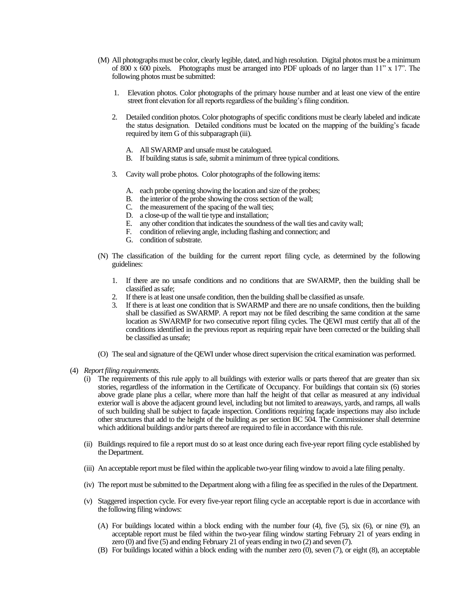- (M) All photographs must be color, clearly legible, dated, and high resolution. Digital photos must be a minimum of  $800 \times 600$  pixels. Photographs must be arranged into PDF uploads of no larger than 11" x 17". The following photos must be submitted:
	- 1. Elevation photos. Color photographs of the primary house number and at least one view of the entire street front elevation for all reports regardless of the building's filing condition.
	- 2. Detailed condition photos. Color photographs of specific conditions must be clearly labeled and indicate the status designation. Detailed conditions must be located on the mapping of the building's facade required by item G of this subparagraph (iii).
		- A. All SWARMP and unsafe must be catalogued.
		- B. If building status is safe, submit a minimum of three typical conditions.
	- 3. Cavity wall probe photos. Color photographs of the following items:
		- A. each probe opening showing the location and size of the probes;
		- B. the interior of the probe showing the cross section of the wall;
		- C. the measurement of the spacing of the wall ties;
		- D. a close-up of the wall tie type and installation;
		- E. any other condition that indicates the soundness of the wall ties and cavity wall;
		- F. condition of relieving angle, including flashing and connection; and
		- G. condition of substrate.
- (N) The classification of the building for the current report filing cycle, as determined by the following guidelines:
	- 1. If there are no unsafe conditions and no conditions that are SWARMP, then the building shall be classified as safe;
	- 2. If there is at least one unsafe condition, then the building shall be classified as unsafe.
	- 3. If there is at least one condition that is SWARMP and there are no unsafe conditions, then the building shall be classified as SWARMP. A report may not be filed describing the same condition at the same location as SWARMP for two consecutive report filing cycles. The QEWI must certify that all of the conditions identified in the previous report as requiring repair have been corrected or the building shall be classified as unsafe;
- (O) The seal and signature of the QEWI under whose direct supervision the critical examination was performed.
- (4) *Report filing requirements*.
	- (i) The requirements of this rule apply to all buildings with exterior walls or parts thereof that are greater than six stories, regardless of the information in the Certificate of Occupancy. For buildings that contain six (6) stories above grade plane plus a cellar, where more than half the height of that cellar as measured at any individual exterior wall is above the adjacent ground level, including but not limited to areaways, yards, and ramps, all walls of such building shall be subject to façade inspection. Conditions requiring façade inspections may also include other structures that add to the height of the building as per section BC 504. The Commissioner shall determine which additional buildings and/or parts thereof are required to file in accordance with this rule.
	- (ii) Buildings required to file a report must do so at least once during each five-year report filing cycle established by the Department.
	- (iii) An acceptable report must be filed within the applicable two-year filing window to avoid a late filing penalty.
	- (iv) The report must be submitted to the Department along with a filing fee as specified in the rules of the Department.
	- (v) Staggered inspection cycle. For every five-year report filing cycle an acceptable report is due in accordance with the following filing windows:
		- (A) For buildings located within a block ending with the number four (4), five (5), six (6), or nine (9), an acceptable report must be filed within the two-year filing window starting February 21 of years ending in zero  $(0)$  and five  $(5)$  and ending February 21 of years ending in two  $(2)$  and seven  $(7)$ .
		- (B) For buildings located within a block ending with the number zero (0), seven (7), or eight (8), an acceptable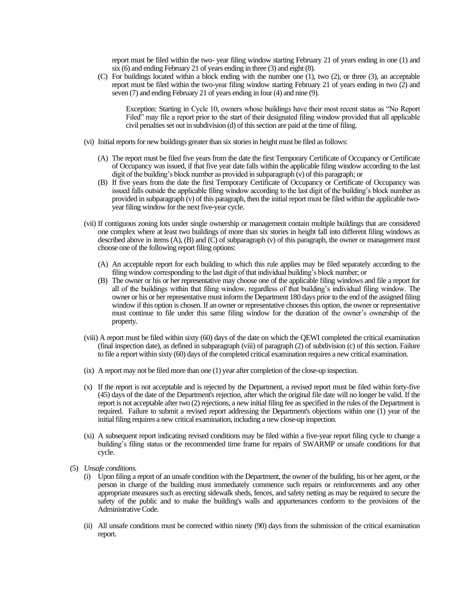report must be filed within the two- year filing window starting February 21 of years ending in one (1) and six (6) and ending February 21 of years ending in three (3) and eight (8).

(C) For buildings located within a block ending with the number one (1), two (2), or three (3), an acceptable report must be filed within the two-year filing window starting February 21 of years ending in two (2) and seven (7) and ending February 21 of years ending in four (4) and nine (9).

Exception: Starting in Cycle 10, owners whose buildings have their most recent status as "No Report Filed" may file a report prior to the start of their designated filing window provided that all applicable civil penalties set out in subdivision (d) of this section are paid at the time of filing.

- (vi) Initial reports for new buildings greater than six stories in height must be filed as follows:
	- (A) The report must be filed five years from the date the first Temporary Certificate of Occupancy or Certificate of Occupancy was issued, if that five year date falls within the applicable filing window according to the last digit of the building's block number as provided in subparagraph  $(v)$  of this paragraph; or
	- (B) If five years from the date the first Temporary Certificate of Occupancy or Certificate of Occupancy was issued falls outside the applicable filing window according to the last digit of the building's block number as provided in subparagraph (v) of this paragraph, then the initial report must be filed within the applicable twoyear filing window for the next five-year cycle.
- (vii) If contiguous zoning lots under single ownership or management contain multiple buildings that are considered one complex where at least two buildings of more than six stories in height fall into different filing windows as described above in items (A), (B) and (C) of subparagraph (v) of this paragraph, the owner or management must choose one of the following report filing options:
	- (A) An acceptable report for each building to which this rule applies may be filed separately according to the filing window corresponding to the last digit of that individual building's block number; or
	- (B) The owner or his or her representative may choose one of the applicable filing windows and file a report for all of the buildings within that filing window, regardless of that building's individual filing window. The owner or his or her representative must inform the Department 180 days prior to the end of the assigned filing window if this option is chosen. If an owner or representative chooses this option, the owner or representative must continue to file under this same filing window for the duration of the owner's ownership of the property.
- (viii) A report must be filed within sixty (60) days of the date on which the QEWI completed the critical examination (final inspection date), as defined in subparagraph (viii) of paragraph (2) of subdivision (c) of this section. Failure to file a report within sixty (60) days of the completed critical examination requires a new critical examination.
- (ix) A report may not be filed more than one (1) year after completion of the close-up inspection.
- (x) If the report is not acceptable and is rejected by the Department, a revised report must be filed within forty-five (45) days of the date of the Department's rejection, after which the original file date will no longer be valid. If the report is not acceptable after two (2) rejections, a new initial filing fee asspecified in the rules of the Department is required. Failure to submit a revised report addressing the Department's objections within one (1) year of the initial filing requires a new critical examination, including a new close-up inspection.
- (xi) A subsequent report indicating revised conditions may be filed within a five-year report filing cycle to change a building's filing status or the recommended time frame for repairs of SWARMP or unsafe conditions for that cycle.
- (5) *Unsafe conditions.*
	- (i) Upon filing a report of an unsafe condition with the Department, the owner of the building, his or her agent, or the person in charge of the building must immediately commence such repairs or reinforcements and any other appropriate measures such as erecting sidewalk sheds, fences, and safety netting as may be required to secure the safety of the public and to make the building's walls and appurtenances conform to the provisions of the Administrative Code.
	- (ii) All unsafe conditions must be corrected within ninety (90) days from the submission of the critical examination report.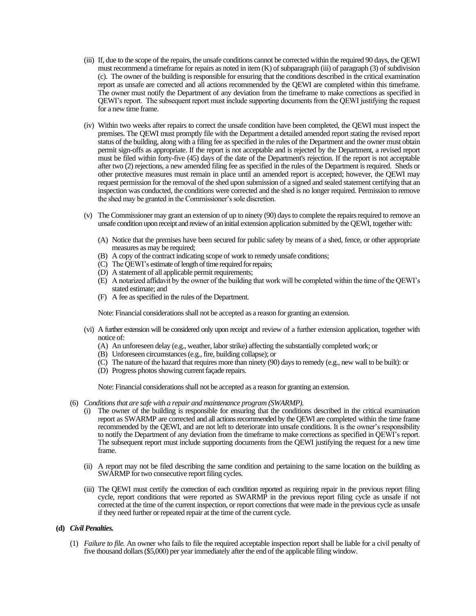- (iii) If, due to the scope of the repairs, the unsafe conditions cannot be corrected within the required 90 days, the QEWI must recommend a timeframe for repairs as noted in item (K) of subparagraph (iii) of paragraph (3) of subdivision (c). The owner of the building is responsible for ensuring that the conditions described in the critical examination report as unsafe are corrected and all actions recommended by the QEWI are completed within this timeframe. The owner must notify the Department of any deviation from the timeframe to make corrections as specified in QEWI's report. The subsequent report must include supporting documents from the QEWI justifying the request for a new time frame.
- (iv) Within two weeks after repairs to correct the unsafe condition have been completed, the QEWI must inspect the premises. The QEWI must promptly file with the Department a detailed amended report stating the revised report status of the building, along with a filing fee as specified in the rules of the Department and the owner must obtain permit sign-offs as appropriate. If the report is not acceptable and is rejected by the Department, a revised report must be filed within forty-five (45) days of the date of the Department's rejection. If the report is not acceptable after two (2) rejections, a new amended filing fee as specified in the rules of the Department is required. Sheds or other protective measures must remain in place until an amended report is accepted; however, the QEWI may request permission for the removal of the shed upon submission of a signed and sealed statement certifying that an inspection was conducted, the conditions were corrected and the shed is no longer required. Permission to remove the shed may be granted in the Commissioner's sole discretion.
- (v) The Commissioner may grant an extension of up to ninety (90) days to complete the repairs required to remove an unsafe condition upon receipt and review of an initial extension application submitted by the QEWI, together with:
	- (A) Notice that the premises have been secured for public safety by means of a shed, fence, or other appropriate measures as may be required;
	- (B) A copy of the contract indicating scope of work to remedy unsafe conditions;
	- (C) The QEWI's estimate of length of time required for repairs;
	- (D) A statement of all applicable permit requirements;
	- (E) A notarized affidavit by the owner of the building that work will be completed within the time of the QEWI's stated estimate; and
	- (F) A fee as specified in the rules of the Department.

Note: Financial considerations shall not be accepted as a reason for granting an extension.

- (vi) A further extension will be considered only upon receipt and review of a further extension application, together with notice of:
	- (A) An unforeseen delay (e.g., weather, labor strike) affecting the substantially completed work; or
	- (B) Unforeseen circumstances (e.g., fire, building collapse); or
	- (C) The nature of the hazard that requires more than ninety (90) days to remedy (e.g., new wall to be built): or
	- (D) Progress photos showing current façade repairs.

Note: Financial considerations shall not be accepted as a reason for granting an extension.

- (6) *Conditions that are safe with a repair and maintenance program (SWARMP).* 
	- (i) The owner of the building is responsible for ensuring that the conditions described in the critical examination report as SWARMP are corrected and all actions recommended by the QEWI are completed within the time frame recommended by the QEWI, and are not left to deteriorate into unsafe conditions. It is the owner's responsibility to notify the Department of any deviation from the timeframe to make corrections as specified in QEWI's report. The subsequent report must include supporting documents from the QEWI justifying the request for a new time frame.
	- (ii) A report may not be filed describing the same condition and pertaining to the same location on the building as SWARMP for two consecutive report filing cycles.
	- (iii) The QEWI must certify the correction of each condition reported as requiring repair in the previous report filing cycle, report conditions that were reported as SWARMP in the previous report filing cycle as unsafe if not corrected at the time of the current inspection, or report corrections that were made in the previous cycle as unsafe if they need further or repeated repair at the time of the current cycle.

## **(d)** *Civil Penalties.*

(1) *Failure to file.* An owner who fails to file the required acceptable inspection report shall be liable for a civil penalty of five thousand dollars (\$5,000) per year immediately after the end of the applicable filing window.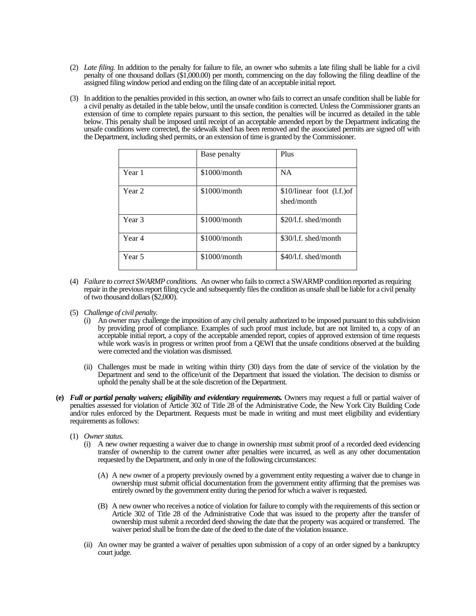- (2) *Late filing.* In addition to the penalty for failure to file, an owner who submits a late filing shall be liable for a civil penalty of one thousand dollars (\$1,000.00) per month, commencing on the day following the filing deadline of the assigned filing window period and ending on the filing date of an acceptable initial report.
- (3) In addition to the penalties provided in this section, an owner who fails to correct an unsafe condition shall be liable for a civil penalty as detailed in the table below, until the unsafe condition is corrected. Unless the Commissioner grants an extension of time to complete repairs pursuant to this section, the penalties will be incurred as detailed in the table below. This penalty shall be imposed until receipt of an acceptable amended report by the Department indicating the unsafe conditions were corrected, the sidewalk shed has been removed and the associated permits are signed off with the Department, including shed permits, or an extension of time is granted by the Commissioner.

|        | Base penalty   | Plus                                     |
|--------|----------------|------------------------------------------|
| Year 1 | $$1000/m$ onth | <b>NA</b>                                |
| Year 2 | $$1000/m$ onth | \$10/linear foot (l.f.) of<br>shed/month |
| Year 3 | \$1000/month   | $$20/1.f.$ shed/month                    |
| Year 4 | $$1000/m$ onth | \$30/1.f. shed/month                     |
| Year 5 | $$1000/m$ onth | \$40/1.f. shed/month                     |

- (4) *Failure to correct SWARMP conditions.* An owner who fails to correct a SWARMP condition reported as requiring repair in the previous report filing cycle and subsequently files the condition as unsafe shall be liable for a civil penalty of two thousand dollars (\$2,000).
- (5) *Challenge of civil penalty.* 
	- (i) An owner may challenge the imposition of any civil penalty authorized to be imposed pursuant to this subdivision by providing proof of compliance. Examples of such proof must include, but are not limited to, a copy of an acceptable initial report, a copy of the acceptable amended report, copies of approved extension of time requests while work was/is in progress or written proof from a QEWI that the unsafe conditions observed at the building were corrected and the violation was dismissed.
	- (ii) Challenges must be made in writing within thirty (30) days from the date of service of the violation by the Department and send to the office/unit of the Department that issued the violation. The decision to dismiss or uphold the penalty shall be at the sole discretion of the Department.
- **(e)** *Full or partial penalty waivers; eligibility and evidentiary requirements.* Owners may request a full or partial waiver of penalties assessed for violation of Article 302 of Title 28 of the Administrative Code, the New York City Building Code and/or rules enforced by the Department. Requests must be made in writing and must meet eligibility and evidentiary requirements as follows:
	- (1) *Owner status.*
		- (i) A new owner requesting a waiver due to change in ownership must submit proof of a recorded deed evidencing transfer of ownership to the current owner after penalties were incurred, as well as any other documentation requested by the Department, and only in one of the following circumstances:
			- (A) A new owner of a property previously owned by a government entity requesting a waiver due to change in ownership must submit official documentation from the government entity affirming that the premises was entirely owned by the government entity during the period for which a waiver is requested.
			- (B) A new owner who receives a notice of violation for failure to comply with the requirements of this section or Article 302 of Title 28 of the Administrative Code that was issued to the property after the transfer of ownership must submit a recorded deed showing the date that the property was acquired or transferred. The waiver period shall be from the date of the deed to the date of the violation issuance.
		- (ii) An owner may be granted a waiver of penalties upon submission of a copy of an order signed by a bankruptcy court judge.